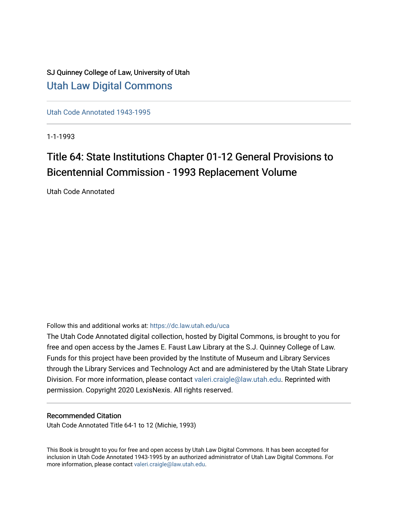## SJ Quinney College of Law, University of Utah [Utah Law Digital Commons](https://dc.law.utah.edu/)

[Utah Code Annotated 1943-1995](https://dc.law.utah.edu/uca) 

1-1-1993

# Title 64: State Institutions Chapter 01-12 General Provisions to Bicentennial Commission - 1993 Replacement Volume

Utah Code Annotated

Follow this and additional works at: [https://dc.law.utah.edu/uca](https://dc.law.utah.edu/uca?utm_source=dc.law.utah.edu%2Fuca%2F423&utm_medium=PDF&utm_campaign=PDFCoverPages)

The Utah Code Annotated digital collection, hosted by Digital Commons, is brought to you for free and open access by the James E. Faust Law Library at the S.J. Quinney College of Law. Funds for this project have been provided by the Institute of Museum and Library Services through the Library Services and Technology Act and are administered by the Utah State Library Division. For more information, please contact [valeri.craigle@law.utah.edu.](mailto:valeri.craigle@law.utah.edu) Reprinted with permission. Copyright 2020 LexisNexis. All rights reserved.

### Recommended Citation

Utah Code Annotated Title 64-1 to 12 (Michie, 1993)

This Book is brought to you for free and open access by Utah Law Digital Commons. It has been accepted for inclusion in Utah Code Annotated 1943-1995 by an authorized administrator of Utah Law Digital Commons. For more information, please contact [valeri.craigle@law.utah.edu.](mailto:valeri.craigle@law.utah.edu)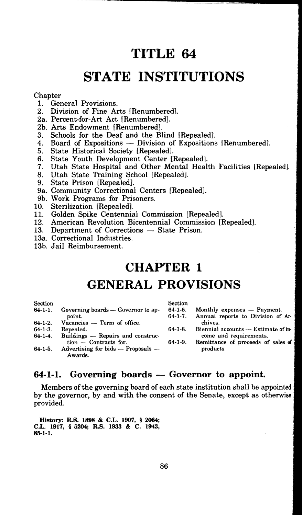# **TITLE 64**

# **STATE INSTITUTIONS**

#### **Chapter**

- 1. General Provisions.<br>2. Division of Fine Ar
- 2. Division of Fine Arts [Renumbered].
- 2a. Percent-for-Art Act [Renumbered].
- 2b. Arts Endowment [Renumbered].
- 3. Schools for the Deaf and the Blind [Repealed].
- 4. Board of Expositions Division of Expositions [Renumbered].<br>5. State Historical Society [Repealed].
- 5. State Historical Society [Repealed].<br>6. State Youth Development Center [1]
- 6. State Youth Development Center [Repealed].<br>7. Utah State Hospital and Other Mental Heal
- 7. Utah State Hospital and Other Mental Health Facilities [Repealed].
- 8. Utah State Training School [Repealed].
- State Prison [Repealed].
- 9a. Community Correctional Centers [Repealed].
- 9b. Work Programs for Prisoners.
- 10. Sterilization [Repealed].<br>11. Golden Spike Centennia
- 11. Golden Spike Centennial Commission [Repealed].<br>12. American Revolution Bicentennial Commission [Rep
- American Revolution Bicentennial Commission [Repealed].
- 13. Department of Corrections State Prison.
- 13a. Correctional Industries.
- 13b. Jail Reimbursement.

## **CHAPTER I**

## **GENERAL PROVISIONS**

| Section        |                                        | Section        |                                     |
|----------------|----------------------------------------|----------------|-------------------------------------|
| 64-1-1.        | Governing boards — Governor to ap-     | $64-1-6$ .     | Monthly expenses — Payment.         |
|                | point.                                 | $64 - 1 - 7$ . | Annual reports to Division of Ar-   |
| $64 - 1 - 2$ . | Vacancies - Term of office.            |                | chives.                             |
| $64-1-3.$      | Repealed.                              | $64-1-8$ .     | Biennial accounts - Estimate of in- |
| 64-1-4.        | Buildings — Repairs and construc-      |                | come and requirements.              |
|                | $tion$ – Contracts for.                | $64-1-9$ .     | Remittance of proceeds of sales of  |
| $64-1-5.$      | Advertising for bids $-$ Proposals $-$ |                | products.                           |
|                | Awards.                                |                |                                     |
|                |                                        |                |                                     |

### **64-1-1.** Governing boards – Governor to appoint.

Members of the governing board of each state institution shall be appointed by the governor, by and with the consent of the Senate, except as otherwise provided.

**History: R.S. 1898** & **C.L. 1907,** § **2064; C.L. 1917,** § **5204; R.S. 1933** & **C. 1943, 85-1-1.**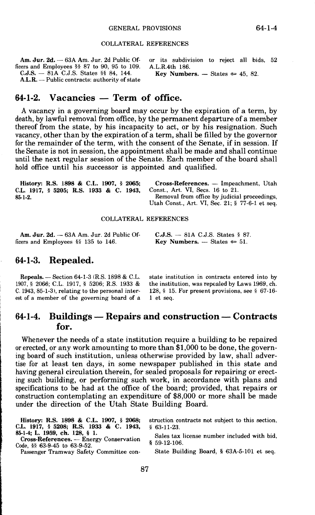#### COLLATERAL REFERENCES

|                                                 | Am. Jur. 2d. - 63A Am. Jur. 2d Public Of- or its subdivision to reject all bids, 52 |
|-------------------------------------------------|-------------------------------------------------------------------------------------|
| ficers and Employees $\S$ 87 to 90, 95 to 109.  | A.L.R.4th 186.                                                                      |
|                                                 | Key Numbers. $-$ States $\approx 45$ , 82.                                          |
| $A.L.R.$ — Public contracts: authority of state |                                                                                     |

### **64-1-2. Vacancies - Term of office.**

A vacancy in a governing board may occur by the expiration of a term, by death, by lawful removal from office, by the permanent departure of a member thereof from the state, by his incapacity to act, or by his resignation. Such vacancy, other than by the expiration of a term, shall be filled by the governor for the remainder of the term, with the consent of the Senate, if in session. If the Senate is not in session, the appointment shall be made and shall continue until the next regular session of the Senate. Each member of the board shall hold office until his successor is appointed and qualified.

| History: R.S. 1898 & C.L. 1907, § 2065: | Cross-References. — Impeachment, Utah                      |
|-----------------------------------------|------------------------------------------------------------|
| C.L. 1917. § 5205: R.S. 1933 & C. 1943. | Const., Art. VI, Secs. 16 to 21.                           |
| 85-1-2.                                 | Removal from office by judicial proceedings.               |
|                                         | Utah Const., Art. VI, Sec. 21; $\frac{5}{77}$ -6-1 et seq. |

#### COLLATERAL REFERENCES

**Am. Jur. 2d.** 63A Am. Jur. 2d Public Officers and Employees §§ 135 to 146.

**C.J.S.** - 81A C.J.S. States § 87. **Key Numbers.**  $-$  States  $\approx$  51.

#### **64-1-3. Repealed.**

**Repeals.** - Section 64-1-3 (R.S. 1898 & C.L. 1907, § 2066; C.L. 1917, § 5206; R.S. 1933 & C. 1943, 85-1-3), relating to the personal interest of a member of the governing board of a

state institution in contracts entered into by the institution, was repealed by Laws 1969, ch. 128, § 15. For present provisions, see§ 67-16- 1 et seq.

### 64-1-4. Buildings — Repairs and construction — Contracts **for.**

Whenever the needs of a state institution require a building to be repaired or erected, or any work amounting to more than \$1,000 to be done, the governing board of such institution, unless otherwise provided by law, shall advertise for at least ten days, in some newspaper published in this state and having general circulation therein, for sealed proposals for repairing or erecting such building, or performing such work, in accordance with plans and specifications to be had at the office of the board; provided, that repairs or construction contemplating an expenditure of \$8,000 or more shall be made under the direction of the Utah State Building Board.

| C.L. 1917, § 5208; R.S. 1933 & C. 1943, § 63-11-23.                       | History: R.S. 1898 & C.L. 1907, § 2068; struction contracts not subject to this section. |
|---------------------------------------------------------------------------|------------------------------------------------------------------------------------------|
|                                                                           |                                                                                          |
| 85-1-4: L. 1959, ch. 128, § 1.<br>Cross-References. — Energy Conservation | Sales tax license number included with bid.                                              |

**Cross-References.** - Energy Conservation Code, §§ 63-9-45 to 63-9-52.

Passenger Tramway Safety Committee con-

§ 59-12-106.

State Building Board, § 63A-5-101 et seq.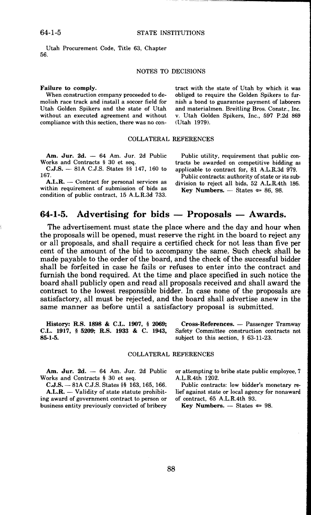Utah Procurement Code, Title 63, Chapter 56.

#### NOTES TO DECISIONS

#### **Failure to comply.**

When construction company proceeded to demolish race track and install a soccer field for Utah Golden Spikers and the state of Utah without an executed agreement and without compliance with this section, there was no con-

#### COLLATERAL REFERENCES

Am. Jur. 2d. - 64 Am. Jur. 2d Public Works and Contracts § 30 et seq.

**C.J.S.** - 81A C.J.S. States §§ 147, 160 to 167.

A.L.R. — Contract for personal services as within requirement of submission of bids as condition of public contract, 15 A.L.R.3d 733.

and materialmen. Breitling Bros. Constr., Inc. v. Utah Golden Spikers, Inc., 597 P.2d 869 (Utah 1979).

tract with the state of Utah by which it was obliged to require the Golden Spikers to furnish a bond to guarantee payment of laborers

Public utility, requirement that public contracts be awarded on competitive bidding as applicable to contract for, 81 A.L.R.3d 979. Public contracts: authority of state or its sub-

division to reject all bids, 52 A.L.R.4th 186. **Key Numbers.**  $-$  States  $\approx 86, 98$ .

#### **64-1-5.** Advertising for bids — Proposals — Awards.

The advertisement must state the place where and the day and hour when the proposals **will** be opened, must reserve the right in the board to reject any or all proposals, and shall require a certified check for not less than five per cent of the amount of the bid to accompany the same. Such check shall be made payable to the order of the board, and the check of the successful bidder shall be forfeited in case he fails or refuses to enter into the contract and furnish the bond required. At the time and place specified in such notice the board shall publicly open and read all proposals received and shall award the contract to the lowest responsible bidder. In case none of the proposals are satisfactory, all must be rejected, and the board shall advertise anew in the same manner as before until a satisfactory proposal is submitted.

**History: R.S. 1898** & **C.L. 1907,** § **2069; C.L. 1917,** § **5209; R.S. 1933** & **C. 1943, 85-1-5.** 

**Cross-References.** - Passenger Tramway Safety Committee construction contracts not subject to this section, § 63-11-23.

#### COLLATERAL REFERENCES

Am. Jur. 2d. - 64 Am. Jur. 2d Public Works and Contracts § 30 et seq.

**C.J.S.** - 81A C.J.S. States§§ 163, 165, 166.

A.L.R. — Validity of state statute prohibiting award of government contract to person or business entity previously convicted of bribery or attempting to bribe state public employee, 7 A.L.R.4th 1202.

Public contracts: low bidder's monetary relief against state or local agency for nonaward of contract, 65 A.L.R.4th 93.

**Key Numbers.**  $-$  States  $\approx 98$ .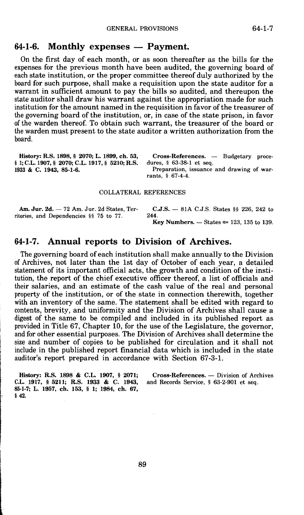### **64-1-6. Monthly expenses — Payment.**

On the first day of each month, or as soon thereafter as the bills for the expenses for the previous month have been audited, the governing board of each state institution, or the proper committee thereof duly authorized by the board for such purpose, shall make a requisition upon the state auditor for a warrant in sufficient amount to pay the bills so audited, and thereupon the state auditor shall draw his warrant against the appropriation made for such institution for the amount named in the requisition in favor of the treasurer of the governing board of the institution, or, in case of the state prison, in favor of the warden thereof. To obtain such warrant, the treasurer of the board or the warden must present to the state auditor a written authorization from the board.

**History: R.S. 1898,** § **2070; L. 1899, ch. 53,**  § l; **C.L. 1907,** § **2070; C.L. 1917,** § **5210; R.S. 1933** & **C. 1943, 85-1-6.** 

Cross-References. - Budgetary procedures, § 63-38-1 et seq.

Preparation, issuance and drawing of warrants, § 67-4-4.

#### COLLATERAL REFERENCES

ritories, and Dependencies §§ 75 to 77.

**Am. Jur. 2d.** - 72 Am. Jur. 2d States, Ter- **C.J.S.** - 81A C.J.S. States §§ 226, 242 to teries, and Dependencies §§ 75 to 77

**Key Numbers.**  $-$  States  $\approx$  123, 135 to 139.

### **64-1-7. Annual reports to Division of Archives.**

The governing board of each institution shall make annually to the Division of Archives, not later than the 1st day of October of each year, a detailed statement of its important official acts, the growth and condition of the institution, the report of the chief executive officer thereof, a list of officials and their salaries, and an estimate of the cash value of the real and personal property of the institution, or of the state in connection therewith, together with an inventory of the same. The statement shall be edited with regard to contents, brevity, and uniformity and the Division of Archives shall cause a digest of the same to be compiled and included in its published report as provided in Title 67, Chapter 10, for the use of the Legislature, the governor, and for other essential purposes. The Division of Archives shall determine the size and number of copies to be published for circulation and it shall not include in the published report financial data which is included in the state auditor's report prepared in accordance with Section 67-3-1.

**History: R.S. 1898 & C.L. 1907, § 2071;** Cross-References. — Division of Archives L. 1917, § 5211; R.S. 1933 & C. 1943, and Records Service, § 63-2-901 et seq. C.L. 1917,  $\frac{1}{2}$  5211; R.S. 1933 & C. 1943, **85-1-7; L. 1957, ch. 153,** § **1; 1984, ch. 67,**  §42.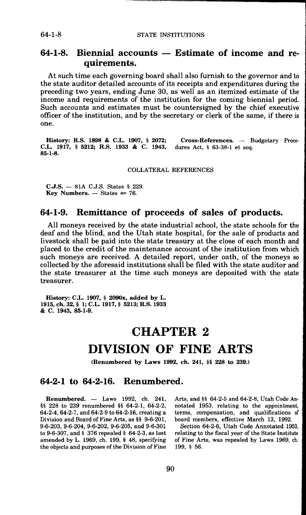64-1-8 STATE INSTITUTIONS

### 64-1-8. Biennial accounts – Estimate of income and re**quirements.**

At such time each governing board shall also furnish to the governor and to the state auditor detailed accounts of its receipts and expenditures during the preceding two years, ending June 30, as well as an itemized estimate of the income and requirements of the institution for the coming biennial period. Such accounts and estimates must be countersigned by the chief executive officer of the institution, and by the secretary or clerk of the same, if there is one.

**History: R.S. 1898 & C.L. 1907, § 2072;** Cross-References. — Budgetary Proce-<br>L. 1917, § 5212; R.S. 1933 & C. 1943, dures Act, § 63-38-1 et seq. **C.L.** 1917, § 5212; R.S. 1933 & C. 1943, **85-1-8.** 

COLLATERAL REFERENCES

**C.J.S.** - 81A C.J.S. States § 229. **Key Numbers.**  $-$  States  $\approx$  76.

### **64-1-9. Remittance of proceeds of sales of products.**

All moneys received by the state industrial school, the state schools for the deaf and the blind, and the Utah state hospital, for the sale of products and livestock shall be paid into the state treasury at the close of each month and placed to the credit of the maintenance account of the institution from which such moneys are received. *A* detailed report, under oath, of the moneys so collected by the aforesaid institutions shall be filed with the state auditor and the state treasurer at the time such moneys are deposited with the state treasurer.

**History: C.L. 1907,** § **2090x, added by L. 1915, ch. 32,** § **l; C.L. 1917,** § **5213; R.S. 1933**  & **c. 1943, 85-1-9.** 

### **CHAPTER 2**

## **DIVISION OF FINE ARTS**

**(Renumbered by Laws 1992, ch. 241,** §§ **228 to 239.)** 

#### **64-2-1 to 64-2-16. Renumbered.**

**Renumbered.** - Laws 1992, ch. 241, §§ 228 to 239 renumbered §§ 64-2-1, 64-2-2, 64-2-4, 64-2-7, and 64-2-9 to 64-2-16, creating a Division and Board of Fine Arts, as §§ 9-6-201, 9-6-203, 9-6-204, 9-6-202, 9-6-205, and 9-6-301 to 9-6-307, and§ 376 repealed§ 64-2-3, as last amended by L. 1969, ch. 199, § 48, specifying the objects and purposes of the Division of Fine

Arts, and §§ 64-2-5 and 64-2-8, Utah Code Annotated 1953, relating to the appointment, terms, compensation, and qualifications of board members, effective March 13, 1992. •

Section 64-2-6, Utah Code Annotated 1953, relating to the fiscal year of the State Institute of Fine Arts, was repealed by Laws 1969, ch. 199, § 56.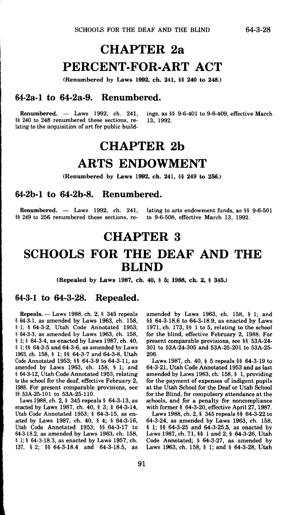# **CHAPTER 2a PERCENT-FOR-ART ACT**

(Renumbered by Laws 1992, ch. 241, §§ 240 to 248.)

#### **64-2a-l to 64-2a-9. Renumbered.**

**Renumbered.** — Laws 1992, ch. 241, ings, as §§ 9-6-401 to 9-6-409, effective March 240 to 248 renumbered these sections, re- 13, 1992. §§ 240 to 248 renumbered these sections, relating to the acquisition of art for public build•

# **CHAPTER 2b ARTS ENDOWMENT**

**(Renumbered by Laws 1992, ch. 241,** §§ **249 to 256.)** 

#### **64-2b-l to 64-2b-8. Renumbered.**

**Renumbered.**  $-$  Laws 1992, ch. 241, lating to arts endowment funds, as  $\frac{5}{5}$  9-6-501<br>[249 to 256 renumbered these sections, re- to 9-6-508, effective March 13, 1992. §§ 249 to 256 renumbered these sections, re-

## **CHAPTER 3**

## **SCHOOLS FOR THE DEAF AND THE BLIND**

**(Repealed by Laws 1987, ch. 40,** § **5; 1988, ch. 2,** § **345.)** 

#### **64-3-1 to 64-3-28. Repealed.**

**Repeals.** Laws 1988, ch. 2, § 345 repeals § 64-3-1, as amended by Laws 1963, ch. 158, § 1; § 64-3-2, Utah Code Annotated 1953; § 64-3-3, as amended by Laws 1963, ch. 158, § l; § 64-3-4, as enacted by Laws 1987, ch. 40, § 1; §§ 64-3-5 and 64-3-6, as amended by Laws 1963, ch. 158, § l; §§ 64-3-7 and 64-3-8, Utah Code Annotated 1953; §§ 64-3-9 to 64-3-11, as amended by Laws 1963, ch. 158, § 1; and § 64-3-12, Utah Code Annotated 1953, relating to the school for the deaf, effective February 2, 1988. For present comparable provisions, see §§ 53A-25-101 to 53A-25-110.

Laws 1988, ch. 2, § 345 repeals§ 64-3-13, as enacted by Laws 1987, ch. 40, § 3; § 64-3-14, Utah Code Annotated 1953; § 64-3-15, as enacted by Laws 1987, ch. 40, § 4; § 64-3-16, Utah Code Annotated 1953; §§ 64-3-17 to 64-3-18.2, as amended by Laws 1963, ch. 158, § 1; § 64-3-18.3, as enacted by Laws 1957, ch. 137, § 2; §§ 64-3-18.4 and 64-3-18.5, as amended by Laws 1963, ch. 158, § 1; and §§ 64-3-18.6 to 64-3-18.9, as enacted by Laws 1971, ch. 173, §§ 1 to 5, relating to the school for the blind, effective February 2, 1988. For present comparable provisions, see §§ 53A-24- 301 to 53A-24-305 and 53A-25-201 to 53A-25- 206.

Laws 1987, ch. 40, § 5 repeals §§ 64-3-19 to 64-3-21, Utah Code Annotated 1953 and as last amended by Laws 1963, ch. 158, § 1, providing for the payment of expenses of indigent pupils at the Utah School for the Deaf or Utah School for the Blind, for compulsory attendance at the schools, and for a penalty for noncompliance with former§ 64-3-20, effective April 27, 1987.

Laws 1988, ch. 2, § 345 repeals §§ 64-3-22 to 64-3-24, as amended by Laws 1963, ch. 158, § 1; §§ 64-3-25 and 64-3-25.5, as enacted by Laws 1987, ch. 71, §§ 1 and 2; § 64-3-26, Utah Code Annotated; § 64-3-27, as amended by Laws 1963, ch. 158, § 1; and § 64-3-28, Utah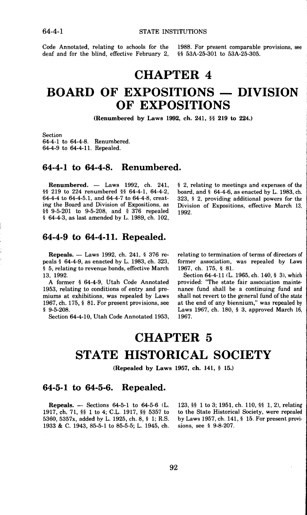64-4-1 STATE INSTITUTIONS

Code Annotated, relating to schools for the 1988. For present comparable provisions, see deaf and for the blind, effective February 2, §§ 53A-25-301 to 53A-25-305. deaf and for the blind, effective February 2,

## **CHAPTER 4**

## **BOARD OF EXPOSITIONS — DIVISION OF EXPOSITIONS**

**(Renumbered by Laws 1992, ch.** 241, §§ **219 to 224.)** 

Section 64-4-1 to 64-4-8. Renumbered. 64-4-9 to 64-4-11. Repealed.

#### **64-4-1 to 64-4-8. Renumbered.**

**Renumbered.** Laws 1992, ch. 241, §§ 219 to 224 renumbered §§ 64-4-1, 64-4-2, 64-4-4 to 64-4-5.1, and 64-4-7 to 64-4-8, creating the Board and Division of Expositions, as §§ 9-5-201 to 9-5-208, and § 376 repealed § 64-4-3, as last amended by L. 1989, ch. 102,

#### **64-4-9 to 64-4-11. Repealed.**

**Repeals.** Laws 1992, ch. 241, § 376 repeals § 64-4-9, as enacted by L. 1983, ch. 323, § 5, relating to revenue bonds, effective March 13, 1992.

A former § 64-4-9, Utah Code Annotated 1953, relating to conditions of entry and premiums at exhibitions, was repealed by Laws 1967, ch. 175, § 81. For present provisions, see § 9-5-208.

Section 64-4-10, Utah Code Annotated 1953,

§ 2, relating to meetings and expenses of the board, and § 64-4-6, as enacted by L. 1983, ch. 323, § 2, providing additional powers for the Division of Expositions, effective March 13, 1992.

relating to termination of terms of directors of former association, was repealed by Laws 1967, ch. 175, § 81.

Section 64-4-11 (L. 1965, ch. 140, § 3), which provided: "The state fair association maintenance fund shall be a continuing fund and shall not revert to the general fund of the state at the end of any biennium," was repealed by Laws 1967, ch. 180, § 3, approved March 16, 1967.

# **CHAPTER 5 STATE HISTORICAL SOCIETY**

**(Repealed by Laws 1957, ch. 141,** § **15.)** 

#### **64-5-1 to 64-5-6. Repealed.**

**Repeals.** - Sections 64-5-1 to 64-5-6 (L. 1917, ch. 71, §§ 1 to 4; C.L. 1917, §§ 5357 to 5360, 5357x, added by L. 1925, ch. 8, § 1; R.S. 1933 & C. 1943, 85-5-1 to 85-5-5; L. 1945, ch.

123, §§ 1 to 3; 1951, ch. 110, §§ 1, 2), relating to the State Historical Society, were repealed by Laws 1957, ch. 141, § 15. For present provisions, see § 9-8-207.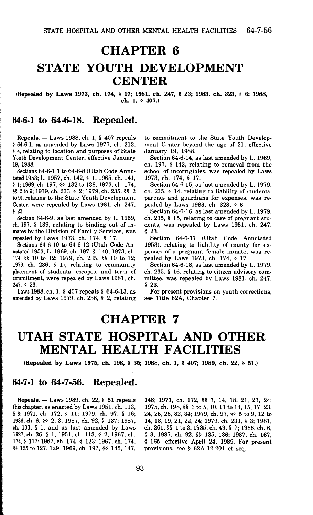# **CHAPTER 6 STATE YOUTH DEVELOPMENT CENTER**

#### **(Repealed by Laws 1973, ch. 174,** § **17; 1981, ch. 247,** § **23; 1983, ch. 323,** § **6; 1988, ch. 1,** § **407.)**

#### **64-6-1 to 64-6-18. Repealed.**

**Repeals.** - Laws 1988, ch. 1, § 407 repeals § 64-6-1, as amended by Laws 1977, ch. 213, § 4, relating to location and purposes of State Youth Development Center, effective January 19, 1988.

Sections 64-6-1.1 to 64-6-8 (Utah Code Annotated 1953; L. 1957, ch. 142, § 1; 1965, ch. 141, § 1; 1969, ch. 197, §§ 132 to 138; 1973, ch. 174, §§ 2 to 9; 1979, ch. 233, § 2; 1979, ch. 235, §§ 2 to 9), relating to the State Youth Development Center, were repealed by Laws 1981, ch. 247, § 23.

Section 64-6-9, as last amended by L. 1969, ch. 197, § 139, relating to binding out of inmates by the Division of Family Services, was repealed by Laws 1973, ch. 174, § 17.

Sections 64-6-10 to 64-6-12 (Utah Code **An**notated 1953; **L.** 1969, ch. 197, § 140; 1973, ch. 174, §§ 10 to 12; 1979, ch. 235, §§ 10 to 12; 1979, ch. 236, § 1), relating to community placement of students, escapes, and term of commitment, were repealed by Laws 1981, ch. 247, § 23.

Laws 1988, ch. 1, § 407 repeals§ 64-6-13, as amended by Laws 1979, ch. 236, § 2, relating to commitment to the State Youth Development Center beyond the age of 21, effective January 19, 1988.

Section 64-6-14, as last amended by L. 1969, ch. 197, § 142, relating to removal from the school of incorrigibles, was repealed by Laws 1973, ch. 174, § 17.

Section 64-6-15, as last amended by **L.** 1979, ch. 235, § 14, relating to liability of students, parents and guardians for expenses, was **re**pealed by Laws 1983, ch. 323, § 6.

Section 64-6-16, as last amended by **L.** 1979, ch. 235, § 15, relating to care of pregnant students, was repealed by Laws 1981, ch. 247, § 23.

Section 64-6-17 (Utah Code Annotated 1953), relating to liability of county for expenses of a pregnant female inmate, was repealed by Laws 1973, ch. 174, § 17.

Section 64-6-18, as last amended by L. 1979, ch. 235, § 16, relating to citizen advisory committee, was repealed by Laws 1981, ch. 247, § 23.

For present provisions on youth corrections, see Title 62A, Chapter 7.

### **CHAPTER 7**

## **UTAH STATE HOSPITAL AND OTHER MENTAL HEALTH FACILITIES**

**(Repealed by Laws 1975, ch. 198,** § **35; 1988, ch.** 1, § **407; 1989, ch. 22,** § **51.)** 

#### **64-7-1 to 64-7-56. Repealed.**

**Repeals.** - Laws 1989, ch. 22, § 51 repeals this chapter, as enacted by Laws 1951, ch. 113, § 3; 1971, ch. 172, § 11; 1979, ch. 97, § 16; 1986, ch. 6, §§ 2, 3; 1987, ch. 92, § 137; 1987, ch. 133, § l; and as last amended by Laws 1927, ch. 36, § 1; 1951, ch. 113, § 2; 1967, ch. 174, § 117; 1967, ch. 174, § 123; 1967, ch. 174, §§ 125 to 127, 129; 1969, ch. 197, §§ 145, 147,

148; 1971, ch. 172, §§ 7, 14, 18, 21, 23, 24; 1975, ch. 198, §§ 3 to 5, 10, 11 to 14, 15, 17, 23, 24, 26, 28, 32, 34; 1979, ch. 97, §§ 5 to 9, 12 to 14, 18, 19, 21, 22, 24; 1979, ch. 233, § 3; 1981, ch. 261, §§ 1 to 3; 1985, ch. 49, § 7; 1986, ch. 6, § 3; 1987, ch. 92, §§ 135, 136; 1987, ch. 167, § 165, effective April 24, 1989. For present provisions, see § 62A-12-201 et seq.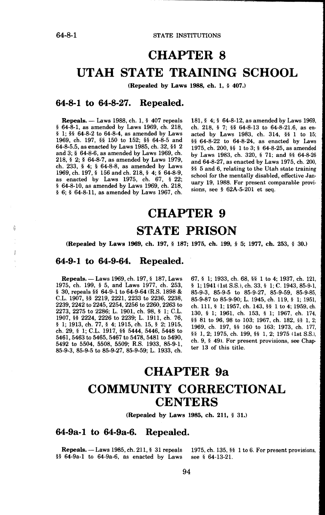讀

64-8-1 STATE INSTITUTIONS

# **CHAPTER 8 UTAH STATE TRAINING SCHOOL**

**(Repealed by Laws 1988, ch. 1,** § **407.)** 

#### **64-8-1 to 64-8-27. Repealed.**

**Repeals.** - Laws 1988, ch. 1, § 407 repeals § 64-8-1, as amended by Laws 1969, ch. 218, § 1; §§ 64-8-2 to 64-8-4, as amended by Laws 1969, ch. 197, §§ 150 to 152; §§ 64-8-5 and 64-8-5.5, as enacted by Laws 1985, ch. 32, §§ 2 and 3; § 64-8-6, as amended by Laws 1969, ch. 218, § 2; § 64-8-7, as amended by Laws 1979, ch. 233, § 4; § 64-8-8, as amended by Laws 1969, ch. 197, § 156 and ch. 218, § 4; § 64-8-9, as enacted by Laws 1975, ch. 67, § 22; § 64-8-10, as amended by Laws 1969, ch. 218, § 6; § 64-8-11, as amended by Laws 1967, ch.

181, § 4; § 64-8-12, as amended by Laws 1969, ch. 218, § 7; §§ 64-8-13 to 64-8-21.6, as enacted by Laws 1983, ch. 314, §§ 1 to 15; §§ 64-8-22 to 64-8-24, as enacted by Laws 1975, ch. 200, §§ 1 to 3; § 64-8-25, as amended by Laws 1983, ch. 320, § 71; and §§ 64-8-26 and 64-8-27, as enacted by Laws 1975, ch. 200, §§ 5 and 6, relating to the Utah state training school for the mentally disabled, effective January 19, 1988. For present comparable provisions, see § 62A-5-201 et seq.

# **CHAPTER 9 STATE PRISON**

**(Repealed** by **Laws 1969,** ch, 197, § 187; 1975, ch. 199, § 5; 1977, ch. 253, § 30.)

#### **64-9-1 to 64-9-64. Repealed.**

**Repeals.** - Laws 1969, ch. 197, § 187, Laws 1975, ch. 199, § 5, and Laws 1977, ch. 253, § 30, repeals §§ 64-9-1 to 64-9-64 (R.S. 1898 & C.L. 1907, §§ 2219, 2221, 2233 to 2236, 2238, 2239, 2242 to 2245, 2254, 2256 to 2260, 2263 to 2273, 2275 to 2286; L. 1901, ch. 98, § 1; C.L. 1907, §§ 2224, 2226 to 2239; L. 1911, ch. 76, § 1; 1913, ch. 77, § 4; 1915, ch. 15, § 2; 1915, ch. 29, § 1; C.L. 1917, §§ 5444, 5446, 5448 to 5461, 5463 to 5465, 5467 to 5478, 5481 to 5490, 5492 to 5504, 5508, 5509; R.S. 1933, 85-9-1, 85-9-3, 85-9-5 to 85-9-27, 85-9-59; L. 1933, ch.

67, § l; 1933, ch. 68, §§ 1 to 4; 1937, ch. 121, § 1; 1941 (1st S.S.), ch. 33, § 1; C. 1943, 85-9-1, 85-9-3, 85-9-5 to 85-9-27, 85-9-59, 85-9-85, 85-9-87 to 85-9-90; L. 1945, ch. 119, § 1; 1951, ch. 111, § 1; 1957, ch. 143, §§ 1 to 4; 1959, ch. 130, § 1; 1961, ch. 153, § 1; 1967, ch. 174, §§ 81 to 96, 98 to 103; 1967, ch. 182, §§ 1, 2; 1969, ch. 197, §§ 160 to 163; 1973, ch. 177, §§ 1, 2; 1975, ch. 199, §§ 1, 2; 1975 (1st S.S.), ch. 9, § 49). For present provisions, see Chapter 13 of this title.

# **CHAPTER 9a COMMUNITY CORRECTIONAL CENTERS**

**(Repealed by Laws 1985, ch. 211,** § 31.)

### **64-9a-l to 64-9a-6. Repealed.**

**Repeals.** Laws 1985, ch. 211, § 31 repeals 1975, ch. 135, §§ 1 to 6. For present provisions, §§ 64-9a-1 to 64-9a-6, as enacted by Laws see § 64-13-21.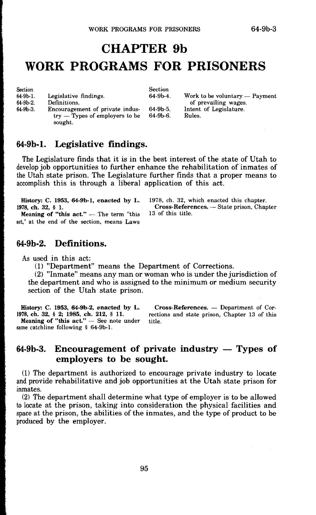# **CHAPTER 9b WORK PROGRAMS FOR PRISONERS**

|                                  | Section    |                                |
|----------------------------------|------------|--------------------------------|
| Legislative findings.            | $64-9b-4.$ | Work to be voluntary — Payment |
|                                  |            | of prevailing wages.           |
| Encouragement of private indus-  | 64-9b-5.   | Intent of Legislature.         |
| $try$ — Types of employers to be | $64-9b-6.$ | Rules.                         |
|                                  |            |                                |

#### **64-9b-1. Legislative findings.**

The Legislature finds that it is in the best interest of the state of Utah to develop job opportunities to further enhance the rehabilitation of inmates of the Utah state prison. The Legislature further finds that a proper means to accomplish this is through a liberal application of this act.

**History: C. 1953, 64-9b-1, enacted by L.**  1978, ch. 32, § 1. Meaning of "this act." — The term "this

act," at the end of the section, means Laws

#### 1978, ch. 32, which enacted this chapter. Cross-References. - State prison, Chapter 13 of this title.

#### **64-9b-2. Definitions.**

As used in this act:

(1) "Department" means the Department of Corrections.

(2) "Inmate" means any man or woman who is under the jurisdiction of the department and who is assigned to the minimum or medium security section of the Utah state prison.

**History: C. 1953, 64-9b-2, enacted by L. 1978, ch. 32,** § **2; 1985, ch. 212,** § **11. Meaning of "this act."** - See note under same catchline following § 64-9b-l.

**Cross-References.** Department of Corrections and state prison, Chapter 13 of this title.

### 64-9b-3. Encouragement of private industry — Types of **employers to be sought.**

(1) The department is authorized to encourage private industry to locate and provide rehabilitative and job opportunities at the Utah state prison for inmates.

(2) The department shall determine what type of employer is to be allowed to locate at the prison, taking into consideration the physical facilities and space at the prison, the abilities of the inmates, and the type of product to be produced by the employer.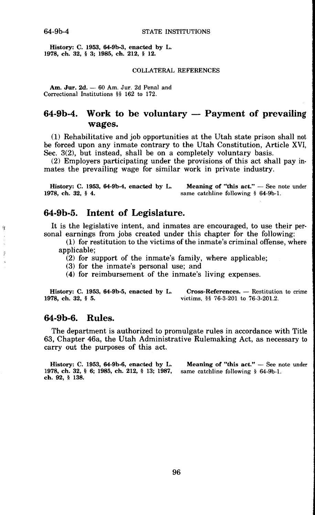剪

 $\hat{\vec{y}}$ k.

**History: C. 1953, 64-9b-3, enacted by L. 1978, ch. 32,** § **3; 1985, ch. 212,** § **12.** 

#### COLLATERAL REFERENCES

Am. Jur. 2d. - 60 Am. Jur. 2d Penal and Correctional Institutions §§ 162 to 172.

### **64-9b-4.** Work to be voluntary — Payment of prevailing **wages.**

(1) Rehabilitative and job opportunities at the Utah state prison shall not be forced upon any inmate contrary to the Utah Constitution, Article **XVI,**  Sec. 3(2), but instead, shall be on a completely voluntary basis.

(2) Employers participating under the provisions of this act shall pay in• mates the prevailing wage for similar work in private industry.

**History: C. 1953, 64-9b-4, enacted by L.** Meaning of "this act."  $-$  See note under 1978, ch. 32, § 4. same catchline following § 64-9b-1.

### **64-9b-5. Intent of Legislature.**

It is the legislative intent, and inmates are encouraged, to use their personal earnings from jobs created under this chapter for the following:

- (1) for restitution to the victims of the inmate's criminal offense, where applicable;
	- (2) for support of the inmate's family, where applicable;
	- (3) for the inmate's personal use; and
	- (4) for reimbursement of the inmate's living expenses.

**History: C. 1953, 64-9b-5, enacted by L. Cross-References. — Restitution to crime 1978, ch. 32, § 5.** victims, §§ 76-3-201 to 76-3-201.2. **1978, ch. 32,** § **5.** victims, §§ 76-3-201 to 76-3-201.2.

#### **64-9b-6. Rules.**

The department is authorized to promulgate rules in accordance with Title 63, Chapter 46a, the Utah Administrative Rulemaking Act, as necessary to carry out the purposes of this act.

**History: C. 1953, 64-9b-6, enacted by L.** Meaning of "this act." - See note under **1978, ch. 32,** § **6; 1985, ch. 212,** § **13; 1987,** same catchline following § 64-9b-1. **ch. 92,** § **138.**